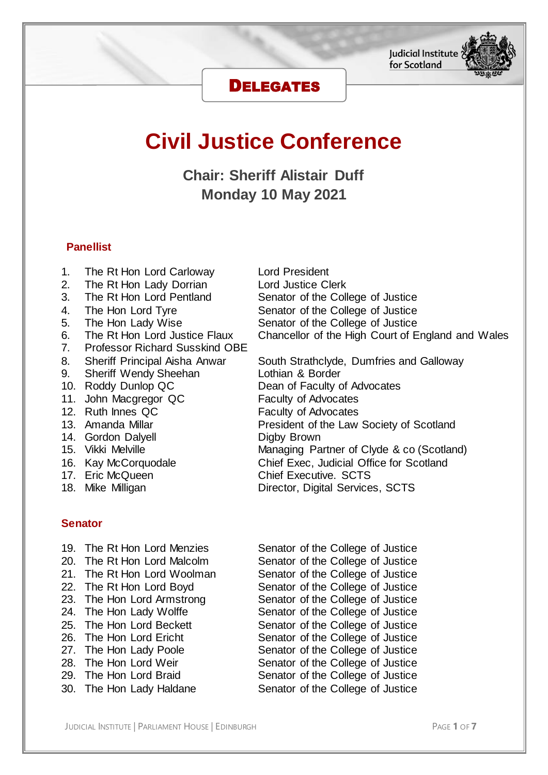# DELEGATES

# **Civil Justice Conference**

**Chair: Sheriff Alistair Duff Monday 10 May 2021**

# **Panellist**

- 1. The Rt Hon Lord Carloway Lord President
- 
- 
- 
- 
- 
- 7. Professor Richard Susskind OBE
- 
- 9. Sheriff Wendy Sheehan **Lothian & Border**
- 
- 11. John Macgregor QC Faculty of Advocates
- 
- 
- 
- 
- 
- 
- 

# **Senator**

- 
- 
- 
- 
- 
- 
- 
- 
- 
- 
- 
- 

2. The Rt Hon Lady Dorrian Lord Justice Clerk<br>3. The Rt Hon Lord Pentland Senator of the Coll 3. The Rt Hon Lord Pentland Senator of the College of Justice 4. The Hon Lord Tyre Senator of the College of Justice 5. The Hon Lady Wise Senator of the College of Justice 6. The Rt Hon Lord Justice Flaux Chancellor of the High Court of England and Wales

8. Sheriff Principal Aisha Anwar South Strathclyde, Dumfries and Galloway 10. Roddy Dunlop QC Dean of Faculty of Advocates 12. Ruth Innes QC Faculty of Advocates 13. Amanda Millar **President of the Law Society of Scotland** 14. Gordon Dalyell **Channel Communist Communist Communist Communist Communist Communist Communist Communist Co<br>15. Vikki Melville Communist Communist Communist Communist Communist Communist Communist Communist Communist<br>19** Managing Partner of Clyde & co (Scotland) 16. Kay McCorquodale Chief Exec, Judicial Office for Scotland 17. Eric McQueen **Chief Executive.** SCTS 18. Mike Milligan **Director**, Digital Services, SCTS

19. The Rt Hon Lord Menzies Senator of the College of Justice 20. The Rt Hon Lord Malcolm Senator of the College of Justice 21. The Rt Hon Lord Woolman Senator of the College of Justice 22. The Rt Hon Lord Boyd<br>
23. The Hon Lord Armstrong<br>
Senator of the College of Justice Senator of the College of Justice 24. The Hon Lady Wolffe Senator of the College of Justice 25. The Hon Lord Beckett Senator of the College of Justice 26. The Hon Lord Ericht Senator of the College of Justice 27. The Hon Lady Poole Senator of the College of Justice 28. The Hon Lord Weir Senator of the College of Justice 29. The Hon Lord Braid Senator of the College of Justice 30. The Hon Lady Haldane Senator of the College of Justice



for Scotland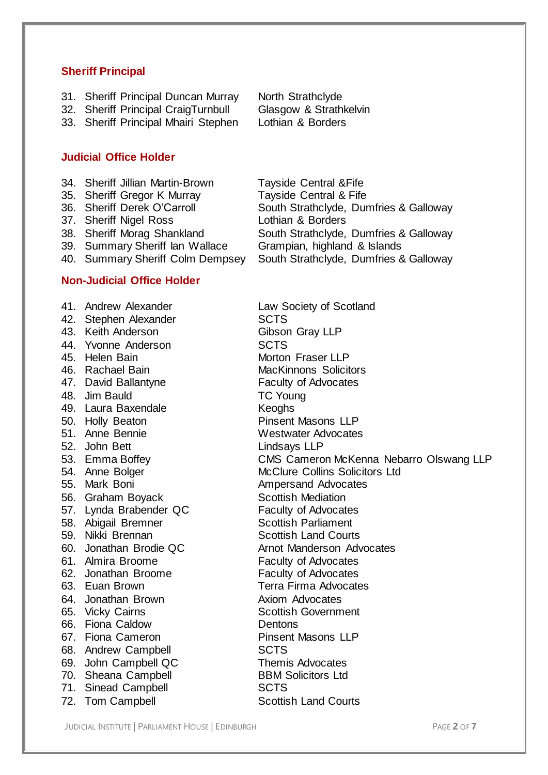#### **Sheriff Principal**

- 31. Sheriff Principal Duncan Murray North Strathclyde
- 32. Sheriff Principal CraigTurnbull Glasgow & Strathkelvin
- 33. Sheriff Principal Mhairi Stephen Lothian & Borders

## **Judicial Office Holder**

- 34. Sheriff Jillian Martin-Brown Tayside Central &Fife
- 35. Sheriff Gregor K Murray Tayside Central & Fife
- 
- 37. Sheriff Nigel Ross Lothian & Borders
- 
- 
- 

# **Non-Judicial Office Holder**

- 42. Stephen Alexander SCTS
- 
- 44. Yvonne Anderson SCTS
- 
- 
- 
- 48. Jim Bauld TC Young
- 49. Laura Baxendale **Keoghs**
- 
- 
- 
- 
- 
- 
- 
- 
- 
- 
- 
- 
- 
- 
- 
- 
- 66. Fiona Caldow Dentons
- 
- 68. Andrew Campbell **SCTS**
- 
- 
- 71. Sinead Campbell SCTS
- 72. Tom Campbell Scottish Land Courts

36. Sheriff Derek O'Carroll South Strathclyde, Dumfries & Galloway 38. Sheriff Morag Shankland South Strathclyde, Dumfries & Galloway 39. Summary Sheriff Ian Wallace Grampian, highland & Islands<br>40. Summary Sheriff Colm Dempsey South Strathclyde, Dumfries 8 South Strathclyde, Dumfries & Galloway

41. Andrew Alexander **Law Society of Scotland** 43. Keith Anderson Gibson Gray LLP 45. Helen Bain **Morton Fraser LLP** 46. Rachael Bain MacKinnons Solicitors 47. David Ballantyne Faculty of Advocates 50. Holly Beaton **Pinsent Masons LLP** 51. Anne Bennie Westwater Advocates 52. John Bett<br>53. Emma Boffey CMS Camero CMS Cameron McKenna Nebarro Olswang LLP 54. Anne Bolger McClure Collins Solicitors Ltd 55. Mark Boni **Ampersand Advocates** 56. Graham Boyack Scottish Mediation 57. Lynda Brabender QC Faculty of Advocates 58. Abigail Bremner Scottish Parliament 59. Nikki Brennan Scottish Land Courts 60. Jonathan Brodie QC **Arnot Manderson Advocates** 61. Almira Broome Faculty of Advocates 62. Jonathan Broome Faculty of Advocates 63. Euan Brown Terra Firma Advocates 64. Jonathan Brown **Axiom Advocates**<br>65. Vicky Cairns **Axiom Advocates**<br>Scottish Governm **Scottish Government** 67. Fiona Cameron Pinsent Masons LLP 69. John Campbell QC Themis Advocates 70. Sheana Campbell BBM Solicitors Ltd

JUDICIAL INSTITUTE | PARLIAMENT HOUSE | EDINBURGH PAGE **2** OF **7**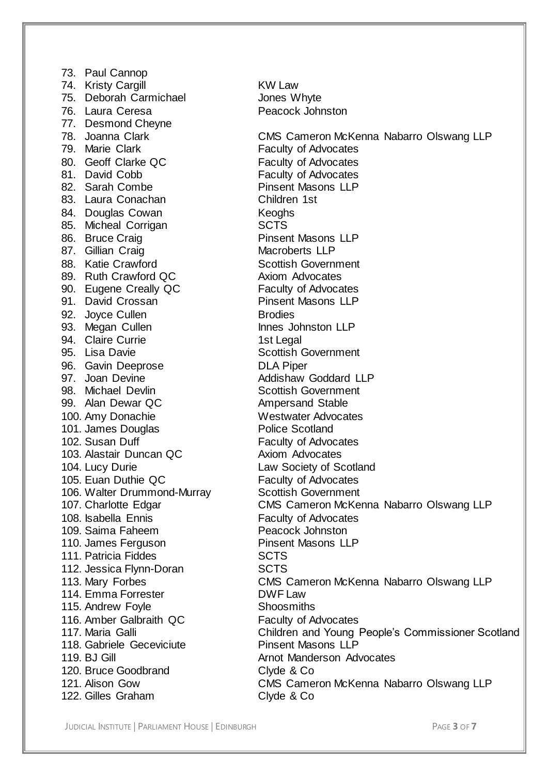73. Paul Cannop 74. Kristy Cargill **KW** Law 75. Deborah Carmichael Jones Whyte 76. Laura Ceresa **Peacock Johnston** 77. Desmond Cheyne<br>78. Joanna Clark 80. Geoff Clarke QC Faculty of Advocates 81. David Cobb Faculty of Advocates 82. Sarah Combe Pinsent Masons LLP 83. Laura Conachan Children 1st 84. Douglas Cowan Keoghs 85. Micheal Corrigan Carroll SCTS<br>86. Bruce Craig Carroll Christian Pinsent Masons LLP 86. Bruce Craig 87. Gillian Craig Macroberts LLP 88. Katie Crawford **Scottish Government** 89. Ruth Crawford QC Axiom Advocates 90. Eugene Creally QC<br>
91. David Crossan 
Finsent Masons LLP 91. David Crossan 92. Joyce Cullen Brodies 93. Megan Cullen Innes Johnston LLP 94. Claire Currie 1st Legal 95. Lisa Davie **Scottish Government** 96. Gavin Deeprose **DLA Piper**<br>97. Joan Devine **DRA Strategies Addishaw** 98. Michael Devlin Scottish Government 99. Alan Dewar QC Ampersand Stable 100. Amy Donachie **Netwater Advocates**<br>101. James Douglas **Marshall Police Scotland** 101. James Douglas<br>102. Susan Duff 103. Alastair Duncan QC Axiom Advocates 104. Lucy Durie **Law Society of Scotland** 105. Euan Duthie QC Faculty of Advocates 106. Walter Drummond-Murray Scottish Government 108. Isabella Ennis Faculty of Advocates 109. Saima Faheem Peacock Johnston 110. James Ferguson Pinsent Masons LLP 111. Patricia Fiddes SCTS 112. Jessica Flynn-Doran SCTS 114. Emma Forrester **DWF Law** 115. Andrew Foyle Shoosmiths 116. Amber Galbraith QC Faculty of Advocates 118. Gabriele Geceviciute 119. BJ Gill **Arnot Manderson Advocates** 120. Bruce Goodbrand Clyde & Co 122. Gilles Graham Clyde & Co

78. Joanna Clark CMS Cameron McKenna Nabarro Olswang LLP<br>79. Marie Clark Clark Clark Clark Clark Caculty of Advocates Faculty of Advocates Addishaw Goddard LLP **Faculty of Advocates** 107. Charlotte Edgar CMS Cameron McKenna Nabarro Olswang LLP 113. Mary Forbes CMS Cameron McKenna Nabarro Olswang LLP 117. Maria Galli Children and Young People's Commissioner Scotland<br>118. Gabriele Geceviciute Pinsent Masons LLP 121. Alison Gow CMS Cameron McKenna Nabarro Olswang LLP

JUDICIAL INSTITUTE | PARLIAMENT HOUSE | EDINBURGH PAGE **3** OF **7**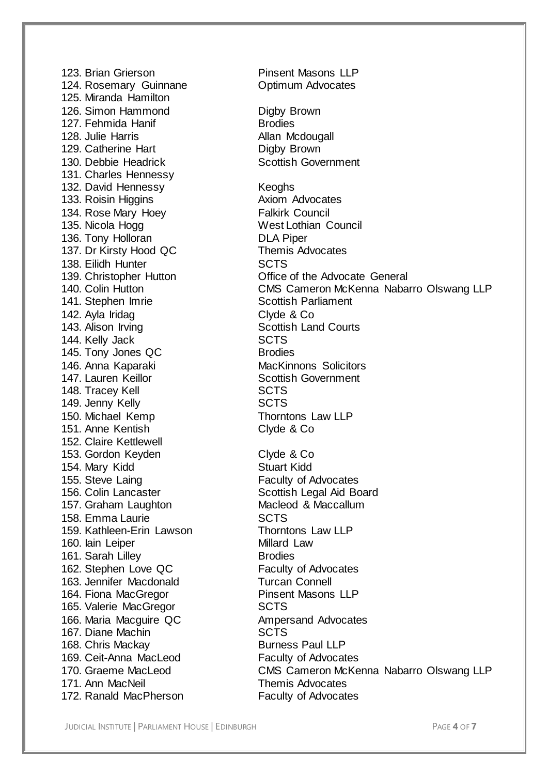124. Rosemary Guinnane **Casa Continum Advocates** 125. Miranda Hamilton 126. Simon Hammond Digby Brown 127. Fehmida Hanif **Brodies**<br>128. Julie Harris **Brooker Allan M** 129. Catherine Hart **Digby Brown**<br>130. Debbie Headrick **Constant Contract Constant** Scottish Government 130. Debbie Headrick 131. Charles Hennessy 132. David Hennessy Keoghs 133. Roisin Higgins **Axiom Advocates** 134. Rose Mary Hoey **Falkirk Council** 135. Nicola Hogg West Lothian Council 136. Tony Holloran **DLA Piper** 137. Dr Kirsty Hood QC Themis Advocates 138. Eilidh Hunter **SCTS** 141. Stephen Imrie Scottish Parliament 142. Ayla Iridag Clyde & Co 143. Alison Irving **Scottish Land Courts** 144. Kelly Jack SCTS 145. Tony Jones QC Brodies 146. Anna Kaparaki **MacKinnons** Solicitors 147. Lauren Keillor **Scottish Government** 148. Tracey Kell SCTS 149. Jenny Kelly **SCTS** 150. Michael Kemp Thorntons Law LLP 151. Anne Kentish Clyde & Co 152. Claire Kettlewell 153. Gordon Keyden Clyde & Co 154. Mary Kidd Stuart Kidd 155. Steve Laing **Faculty of Advocates** 156. Colin Lancaster **Scottish Legal Aid Board**<br>157. Graham Laughton **Scottish Legal Aid Board** 157. Graham Laughton 158. Emma Laurie **SCTS** 159. Kathleen-Erin Lawson Thorntons Law LLP 160. Iain Leiper **Millard Law** 161. Sarah Lilley **Brodies** 162. Stephen Love QC Faculty of Advocates 163. Jennifer Macdonald Turcan Connell 164. Fiona MacGregor Pinsent Masons LLP 165. Valerie MacGregor SCTS 166. Maria Macquire QC Ampersand Advocates 167. Diane Machin SCTS 168. Chris Mackay Burness Paul LLP 169. Ceit-Anna MacLeod Faculty of Advocates 171. Ann MacNeil **Themis Advocates** 172. Ranald MacPherson Faculty of Advocates

123. Brian Grierson **Pinsent Masons LLP** Allan Mcdougall<br>Digby Brown 139. Christopher Hutton Office of the Advocate General 140. Colin Hutton CMS Cameron McKenna Nabarro Olswang LLP 170. Graeme MacLeod CMS Cameron McKenna Nabarro Olswang LLP

JUDICIAL INSTITUTE | PARLIAMENT HOUSE | EDINBURGH PAGE **4** OF **7**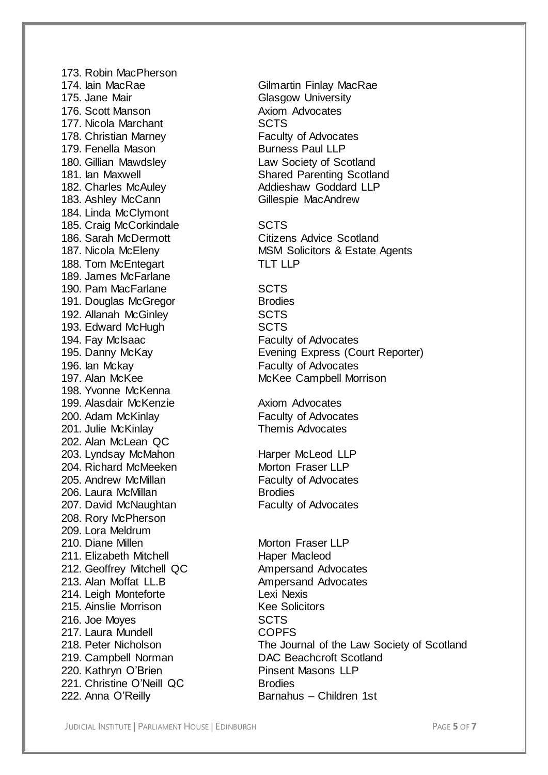173. Robin MacPherson 174. Iain MacRae **Gilmartin Finlay MacRae** 175. Jane Mair **Glasgow University** 176. Scott Manson **Axiom Advocates** 177. Nicola Marchant SCTS 178. Christian Marney **Faculty of Advocates** 179. Fenella Mason Burness Paul LLP 180. Gillian Mawdsley Law Society of Scotland 182. Charles McAuley **Addieshaw Goddard LLP** 183. Ashley McCann Gillespie MacAndrew 184. Linda McClymont 185. Craig McCorkindale **SCTS**<br>186. Sarah McDermott **SCTS** 188. Tom McEntegart TLT LLP 189. James McFarlane 190. Pam MacFarlane **SCTS** 191. Douglas McGregor Brodies 192. Allanah McGinley SCTS 193. Edward McHugh SCTS<br>194. Fay McIsaac State State State State 196. Ian Mckay **Faculty of Advocates** 198. Yvonne McKenna 199. Alasdair McKenzie **Axiom Advocates** 200. Adam McKinlay **Faculty of Advocates**<br>201. Julie McKinlay **Faculty of Advocates** 201. Julie McKinlav 202. Alan McLean QC 203. Lyndsay McMahon Harper McLeod LLP 204. Richard McMeeken Morton Fraser LLP 205. Andrew McMillan **Faculty of Advocates** 206. Laura McMillan Brodies 207. David McNaughtan Faculty of Advocates 208. Rory McPherson 209. Lora Meldrum 210. Diane Millen Morton Fraser LLP 211. Elizabeth Mitchell Haper Macleod 212. Geoffrey Mitchell QC Ampersand Advocates 213. Alan Moffat LL.B Ampersand Advocates 214. Leigh Monteforte Lexi Nexis 215. Ainslie Morrison Kee Solicitors 216. Joe Moyes SCTS 217. Laura Mundell **COPFS** 220. Kathryn O'Brien **Pinsent Masons LLP** 221. Christine O'Neill QC Brodies 222. Anna O'Reilly Barnahus – Children 1st

181. Ian Maxwell **Shared Parenting Scotland** 

Citizens Advice Scotland 187. Nicola McEleny **MSM Solicitors & Estate Agents** 

**Faculty of Advocates** 195. Danny McKay Evening Express (Court Reporter) 197. Alan McKee McKee Campbell Morrison

218. Peter Nicholson The Journal of the Law Society of Scotland 219. Campbell Norman DAC Beachcroft Scotland

JUDICIAL INSTITUTE | PARLIAMENT HOUSE | EDINBURGH PAGE **5** OF **7**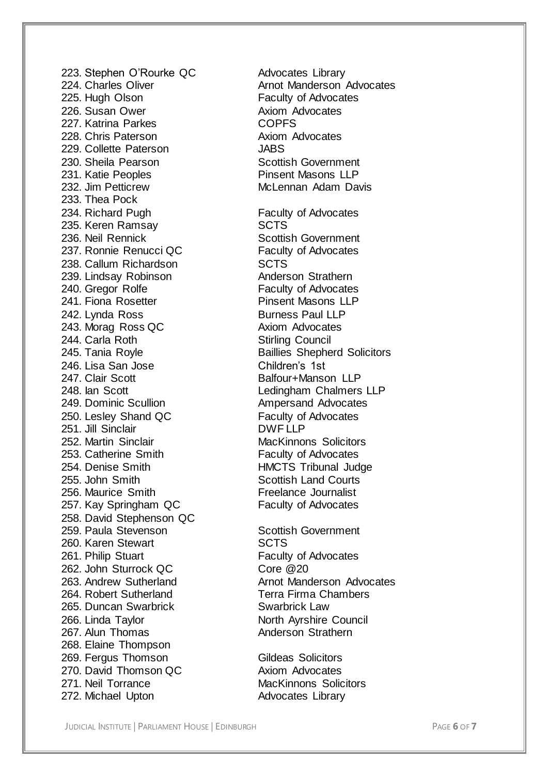223. Stephen O'Rourke QC Advocates Library 225. Hugh Olson **Faculty of Advocates** 226. Susan Ower **Axiom Advocates** 227. Katrina Parkes<br>228. Chris Paterson and COPFS<br>228. Chris Paterson 228. Chris Paterson 229. Collette Paterson JABS 230. Sheila Pearson Scottish Government 231. Katie Peoples Pinsent Masons LLP 232. Jim Petticrew McLennan Adam Davis 233. Thea Pock 234. Richard Pugh Faculty of Advocates 235. Keren Ramsay SCTS 236. Neil Rennick Scottish Government 237. Ronnie Renucci QC Faculty of Advocates 238. Callum Richardson SCTS 239. Lindsay Robinson **Anderson Strathern** 240. Gregor Rolfe **Faculty of Advocates** 241. Fiona Rosetter **Pinsent Masons LLP** 242. Lynda Ross Burness Paul LLP 243. Morag Ross QC Axiom Advocates 244. Carla Roth Stirling Council 246. Lisa San Jose Children's 1st 247. Clair Scott **Balfour+Manson LLP** 248. Ian Scott Ledingham Chalmers LLP 249. Dominic Scullion **Ampersand Advocates** 250. Lesley Shand QC<br>
251. Jill Sinclair<br>
251. Jill Sinclair 251. Jill Sinclair 252. Martin Sinclair **MacKinnons** Solicitors 253. Catherine Smith Faculty of Advocates 254. Denise Smith HMCTS Tribunal Judge 255. John Smith Scottish Land Courts 256. Maurice Smith Freelance Journalist 257. Kay Springham QC Faculty of Advocates 258. David Stephenson QC 259. Paula Stevenson Scottish Government 260. Karen Stewart SCTS 261. Philip Stuart **Faculty of Advocates** 262. John Sturrock QC Core @20 264. Robert Sutherland Terra Firma Chambers 265. Duncan Swarbrick Swarbrick Law 266. Linda Taylor **North Ayrshire Council**<br>267. Alun Thomas **North Anderson Strathern** 267. Alun Thomas 268. Elaine Thompson 269. Fergus Thomson Gildeas Solicitors 270. David Thomson QC Axiom Advocates 271. Neil Torrance MacKinnons Solicitors 272. Michael Upton Advocates Library

224. Charles Oliver **Arnot Manderson Advocates** 245. Tania Royle **Baillies** Shepherd Solicitors 263. Andrew Sutherland **Arnot Manderson Advocates** 

JUDICIAL INSTITUTE | PARLIAMENT HOUSE | EDINBURGH PAGE **6** OF **7**